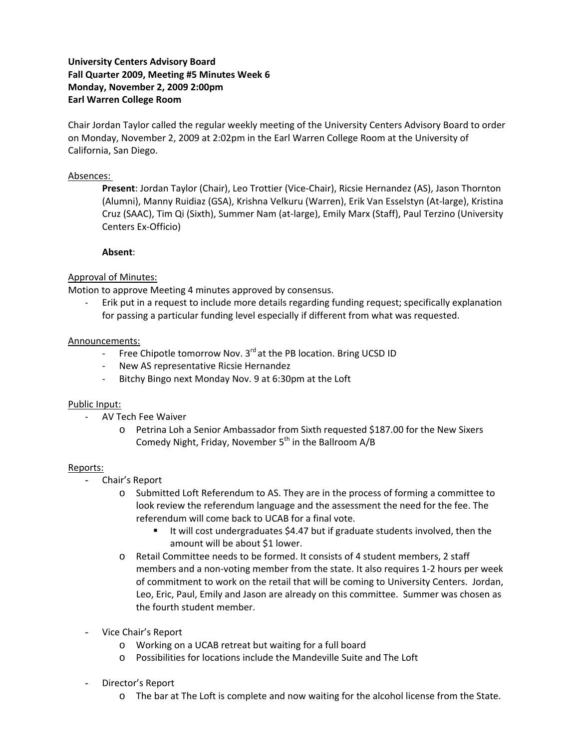# **University Centers Advisory Board Fall Quarter 2009, Meeting #5 Minutes Week 6 Monday, November 2, 2009 2:00pm Earl Warren College Room**

Chair Jordan Taylor called the regular weekly meeting of the University Centers Advisory Board to order on Monday, November 2, 2009 at 2:02pm in the Earl Warren College Room at the University of California, San Diego.

### Absences:

**Present**: Jordan Taylor (Chair), Leo Trottier (Vice‐Chair), Ricsie Hernandez (AS), Jason Thornton (Alumni), Manny Ruidiaz (GSA), Krishna Velkuru (Warren), Erik Van Esselstyn (At‐large), Kristina Cruz (SAAC), Tim Qi (Sixth), Summer Nam (at‐large), Emily Marx (Staff), Paul Terzino (University Centers Ex‐Officio)

## **Absent**:

## Approval of Minutes:

Motion to approve Meeting 4 minutes approved by consensus.

‐ Erik put in a request to include more details regarding funding request; specifically explanation for passing a particular funding level especially if different from what was requested.

## Announcements:

- Free Chipotle tomorrow Nov. 3<sup>rd</sup> at the PB location. Bring UCSD ID
- ‐ New AS representative Ricsie Hernandez
- ‐ Bitchy Bingo next Monday Nov. 9 at 6:30pm at the Loft

#### Public Input:

- ‐ AV Tech Fee Waiver
	- o Petrina Loh a Senior Ambassador from Sixth requested \$187.00 for the New Sixers Comedy Night, Friday, November  $5<sup>th</sup>$  in the Ballroom A/B

#### Reports:

- Chair's Report
	- o Submitted Loft Referendum to AS. They are in the process of forming a committee to look review the referendum language and the assessment the need for the fee. The referendum will come back to UCAB for a final vote.
		- It will cost undergraduates \$4.47 but if graduate students involved, then the amount will be about \$1 lower.
	- o Retail Committee needs to be formed. It consists of 4 student members, 2 staff members and a non‐voting member from the state. It also requires 1‐2 hours per week of commitment to work on the retail that will be coming to University Centers. Jordan, Leo, Eric, Paul, Emily and Jason are already on this committee. Summer was chosen as the fourth student member.
- Vice Chair's Report
	- o Working on a UCAB retreat but waiting for a full board
	- o Possibilities for locations include the Mandeville Suite and The Loft
- Director's Report
	- o The bar at The Loft is complete and now waiting for the alcohol license from the State.